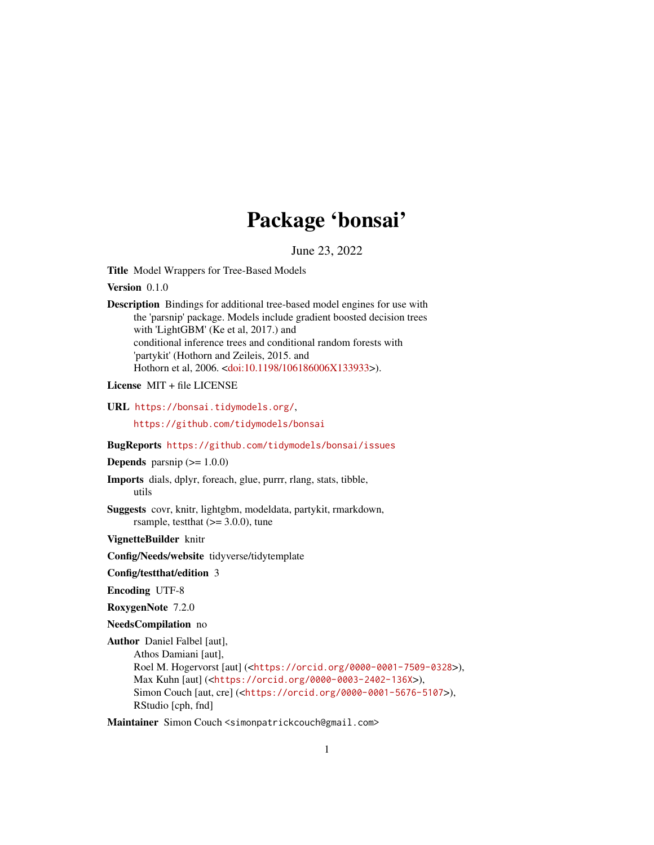## Package 'bonsai'

June 23, 2022

Title Model Wrappers for Tree-Based Models

Version 0.1.0

Description Bindings for additional tree-based model engines for use with the 'parsnip' package. Models include gradient boosted decision trees with 'LightGBM' (Ke et al, 2017.) and conditional inference trees and conditional random forests with 'partykit' (Hothorn and Zeileis, 2015. and Hothorn et al, 2006. [<doi:10.1198/106186006X133933>](https://doi.org/10.1198/106186006X133933)).

License MIT + file LICENSE

URL <https://bonsai.tidymodels.org/>,

<https://github.com/tidymodels/bonsai>

BugReports <https://github.com/tidymodels/bonsai/issues>

**Depends** parsnip  $(>= 1.0.0)$ 

Imports dials, dplyr, foreach, glue, purrr, rlang, stats, tibble, utils

Suggests covr, knitr, lightgbm, modeldata, partykit, rmarkdown, rsample, test that  $(>= 3.0.0)$ , tune

VignetteBuilder knitr

Config/Needs/website tidyverse/tidytemplate

Config/testthat/edition 3

Encoding UTF-8

RoxygenNote 7.2.0

NeedsCompilation no

Author Daniel Falbel [aut], Athos Damiani [aut], Roel M. Hogervorst [aut] (<<https://orcid.org/0000-0001-7509-0328>>), Max Kuhn [aut] (<<https://orcid.org/0000-0003-2402-136X>>), Simon Couch [aut, cre] (<<https://orcid.org/0000-0001-5676-5107>>), RStudio [cph, fnd]

Maintainer Simon Couch <simonpatrickcouch@gmail.com>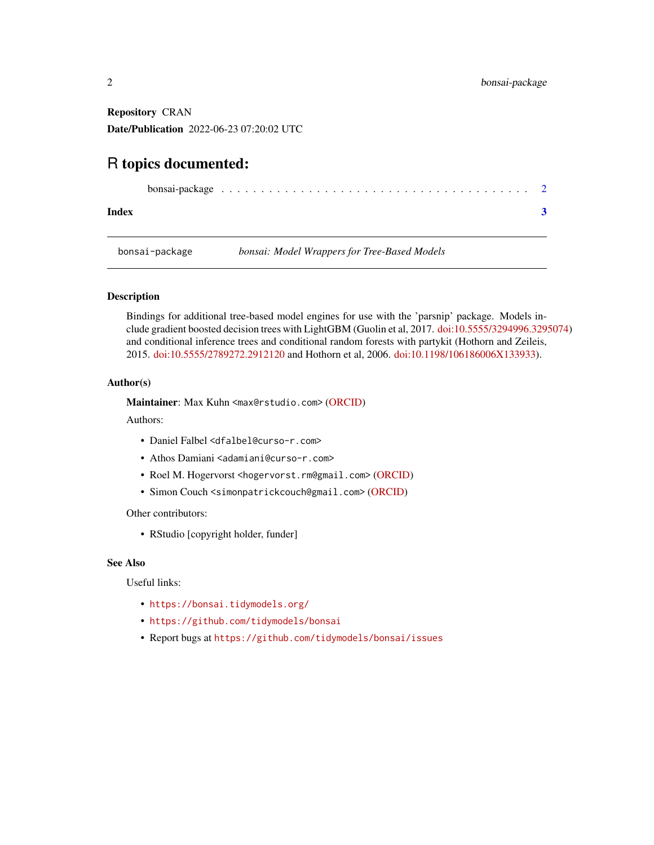<span id="page-1-0"></span>Repository CRAN Date/Publication 2022-06-23 07:20:02 UTC

### R topics documented:

|--|

**Index** [3](#page-2-0)

bonsai-package *bonsai: Model Wrappers for Tree-Based Models*

#### Description

Bindings for additional tree-based model engines for use with the 'parsnip' package. Models include gradient boosted decision trees with LightGBM (Guolin et al, 2017. [doi:10.5555/3294996.3295074\)](https://doi.org/10.5555/3294996.3295074) and conditional inference trees and conditional random forests with partykit (Hothorn and Zeileis, 2015. [doi:10.5555/2789272.2912120](https://doi.org/10.5555/2789272.2912120) and Hothorn et al, 2006. [doi:10.1198/106186006X133933\)](https://doi.org/10.1198/106186006X133933).

#### Author(s)

Maintainer: Max Kuhn <max@rstudio.com> [\(ORCID\)](https://orcid.org/0000-0003-2402-136X)

Authors:

- Daniel Falbel <dfalbel@curso-r.com>
- Athos Damiani <adamiani@curso-r.com>
- Roel M. Hogervorst <hogervorst.rm@gmail.com> [\(ORCID\)](https://orcid.org/0000-0001-7509-0328)
- Simon Couch <simonpatrickcouch@gmail.com> [\(ORCID\)](https://orcid.org/0000-0001-5676-5107)

Other contributors:

• RStudio [copyright holder, funder]

#### See Also

Useful links:

- <https://bonsai.tidymodels.org/>
- <https://github.com/tidymodels/bonsai>
- Report bugs at <https://github.com/tidymodels/bonsai/issues>